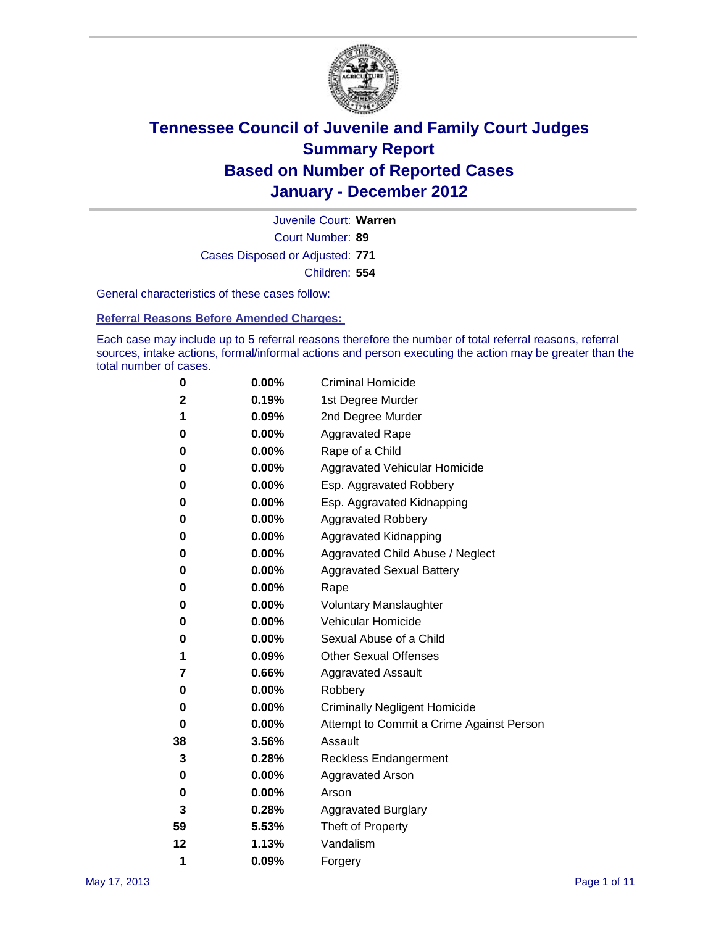

Court Number: **89** Juvenile Court: **Warren** Cases Disposed or Adjusted: **771** Children: **554**

General characteristics of these cases follow:

**Referral Reasons Before Amended Charges:** 

Each case may include up to 5 referral reasons therefore the number of total referral reasons, referral sources, intake actions, formal/informal actions and person executing the action may be greater than the total number of cases.

| 0  | 0.00%    | <b>Criminal Homicide</b>                 |
|----|----------|------------------------------------------|
| 2  | 0.19%    | 1st Degree Murder                        |
| 1  | 0.09%    | 2nd Degree Murder                        |
| 0  | 0.00%    | <b>Aggravated Rape</b>                   |
| 0  | 0.00%    | Rape of a Child                          |
| 0  | 0.00%    | Aggravated Vehicular Homicide            |
| 0  | 0.00%    | Esp. Aggravated Robbery                  |
| 0  | 0.00%    | Esp. Aggravated Kidnapping               |
| 0  | 0.00%    | <b>Aggravated Robbery</b>                |
| 0  | 0.00%    | Aggravated Kidnapping                    |
| 0  | 0.00%    | Aggravated Child Abuse / Neglect         |
| 0  | $0.00\%$ | <b>Aggravated Sexual Battery</b>         |
| 0  | 0.00%    | Rape                                     |
| 0  | $0.00\%$ | <b>Voluntary Manslaughter</b>            |
| 0  | 0.00%    | Vehicular Homicide                       |
| 0  | 0.00%    | Sexual Abuse of a Child                  |
| 1  | 0.09%    | <b>Other Sexual Offenses</b>             |
| 7  | 0.66%    | <b>Aggravated Assault</b>                |
| 0  | $0.00\%$ | Robbery                                  |
| 0  | 0.00%    | <b>Criminally Negligent Homicide</b>     |
| 0  | 0.00%    | Attempt to Commit a Crime Against Person |
| 38 | 3.56%    | Assault                                  |
| 3  | 0.28%    | <b>Reckless Endangerment</b>             |
| 0  | 0.00%    | <b>Aggravated Arson</b>                  |
| 0  | 0.00%    | Arson                                    |
| 3  | 0.28%    | <b>Aggravated Burglary</b>               |
| 59 | 5.53%    | Theft of Property                        |
| 12 | 1.13%    | Vandalism                                |
| 1  | 0.09%    | Forgery                                  |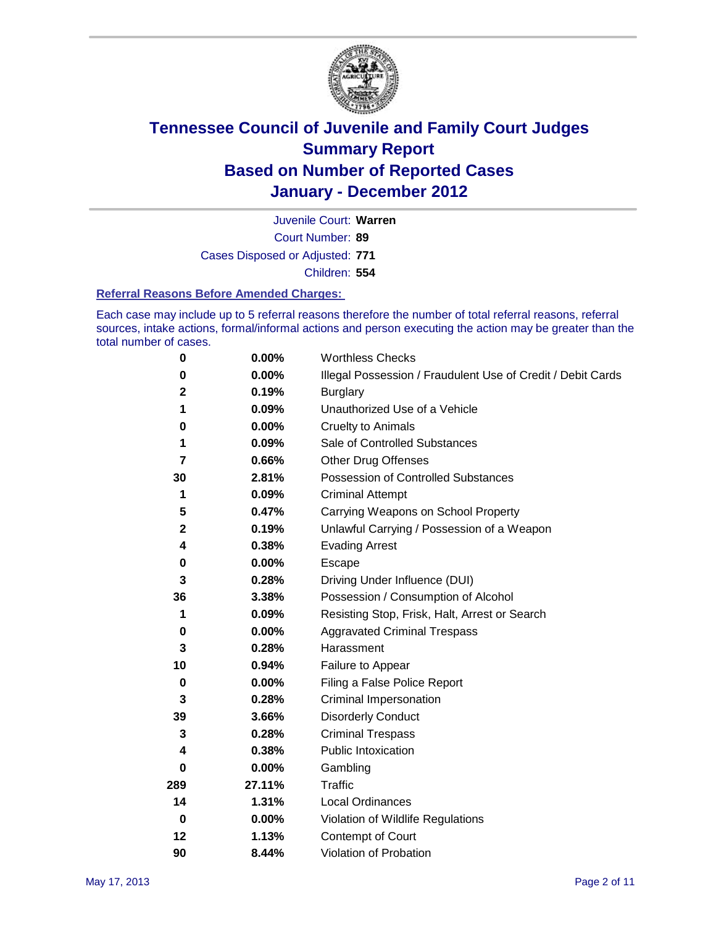

Court Number: **89** Juvenile Court: **Warren** Cases Disposed or Adjusted: **771** Children: **554**

#### **Referral Reasons Before Amended Charges:**

Each case may include up to 5 referral reasons therefore the number of total referral reasons, referral sources, intake actions, formal/informal actions and person executing the action may be greater than the total number of cases.

| $\pmb{0}$   | 0.00%    | <b>Worthless Checks</b>                                     |
|-------------|----------|-------------------------------------------------------------|
| 0           | 0.00%    | Illegal Possession / Fraudulent Use of Credit / Debit Cards |
| $\mathbf 2$ | 0.19%    | <b>Burglary</b>                                             |
| 1           | 0.09%    | Unauthorized Use of a Vehicle                               |
| 0           | $0.00\%$ | <b>Cruelty to Animals</b>                                   |
| 1           | 0.09%    | Sale of Controlled Substances                               |
| 7           | 0.66%    | <b>Other Drug Offenses</b>                                  |
| 30          | 2.81%    | Possession of Controlled Substances                         |
| 1           | 0.09%    | <b>Criminal Attempt</b>                                     |
| 5           | 0.47%    | Carrying Weapons on School Property                         |
| $\mathbf 2$ | 0.19%    | Unlawful Carrying / Possession of a Weapon                  |
| 4           | 0.38%    | <b>Evading Arrest</b>                                       |
| 0           | 0.00%    | Escape                                                      |
| 3           | 0.28%    | Driving Under Influence (DUI)                               |
| 36          | 3.38%    | Possession / Consumption of Alcohol                         |
| 1           | 0.09%    | Resisting Stop, Frisk, Halt, Arrest or Search               |
| 0           | $0.00\%$ | <b>Aggravated Criminal Trespass</b>                         |
| 3           | 0.28%    | Harassment                                                  |
| 10          | 0.94%    | Failure to Appear                                           |
| $\pmb{0}$   | $0.00\%$ | Filing a False Police Report                                |
| 3           | 0.28%    | Criminal Impersonation                                      |
| 39          | 3.66%    | <b>Disorderly Conduct</b>                                   |
| 3           | 0.28%    | <b>Criminal Trespass</b>                                    |
| 4           | 0.38%    | Public Intoxication                                         |
| 0           | $0.00\%$ | Gambling                                                    |
| 289         | 27.11%   | <b>Traffic</b>                                              |
| 14          | 1.31%    | Local Ordinances                                            |
| $\mathbf 0$ | 0.00%    | Violation of Wildlife Regulations                           |
| 12          | 1.13%    | Contempt of Court                                           |
| 90          | 8.44%    | Violation of Probation                                      |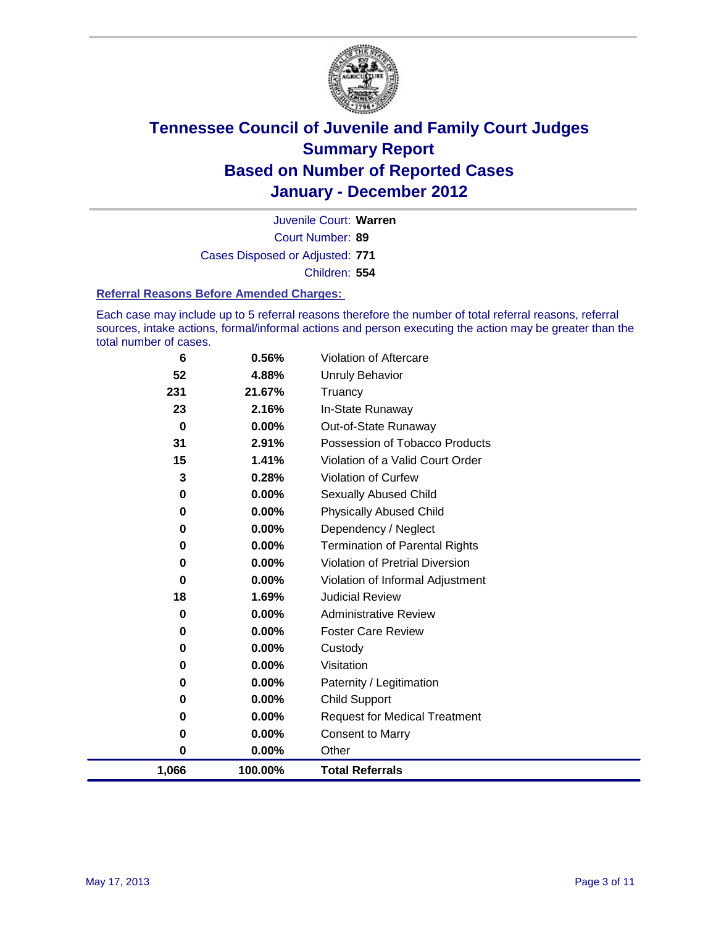

Court Number: **89** Juvenile Court: **Warren** Cases Disposed or Adjusted: **771** Children: **554**

#### **Referral Reasons Before Amended Charges:**

Each case may include up to 5 referral reasons therefore the number of total referral reasons, referral sources, intake actions, formal/informal actions and person executing the action may be greater than the total number of cases.

| 6        | 0.56%    | Violation of Aftercare                 |
|----------|----------|----------------------------------------|
| 52       | 4.88%    | Unruly Behavior                        |
| 231      | 21.67%   | Truancy                                |
| 23       | 2.16%    | In-State Runaway                       |
| $\bf{0}$ | $0.00\%$ | Out-of-State Runaway                   |
| 31       | 2.91%    | Possession of Tobacco Products         |
| 15       | 1.41%    | Violation of a Valid Court Order       |
| 3        | 0.28%    | Violation of Curfew                    |
| $\bf{0}$ | $0.00\%$ | Sexually Abused Child                  |
| 0        | 0.00%    | <b>Physically Abused Child</b>         |
| $\bf{0}$ | $0.00\%$ | Dependency / Neglect                   |
| 0        | 0.00%    | <b>Termination of Parental Rights</b>  |
| 0        | 0.00%    | <b>Violation of Pretrial Diversion</b> |
| 0        | 0.00%    | Violation of Informal Adjustment       |
| 18       | 1.69%    | <b>Judicial Review</b>                 |
| 0        | $0.00\%$ | <b>Administrative Review</b>           |
| 0        | 0.00%    | <b>Foster Care Review</b>              |
| 0        | $0.00\%$ | Custody                                |
| 0        | $0.00\%$ | Visitation                             |
| 0        | $0.00\%$ | Paternity / Legitimation               |
| 0        | 0.00%    | <b>Child Support</b>                   |
| 0        | $0.00\%$ | <b>Request for Medical Treatment</b>   |
| 0        | $0.00\%$ | <b>Consent to Marry</b>                |
| 0        | 0.00%    | Other                                  |
| 1,066    | 100.00%  | <b>Total Referrals</b>                 |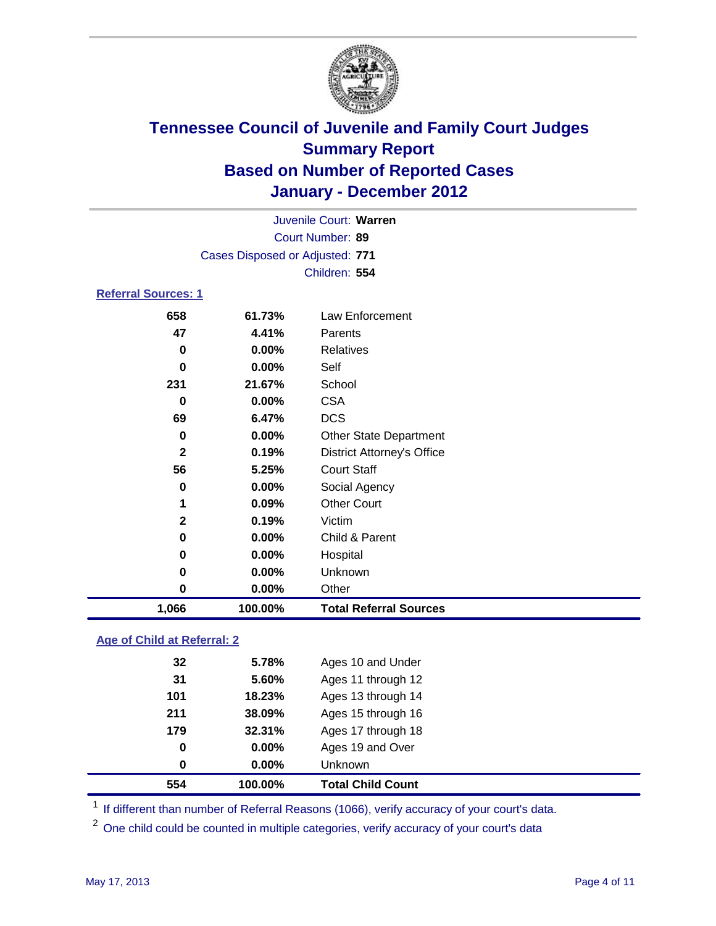

| 1,066                      | 100.00%                         | <b>Total Referral Sources</b>     |  |  |
|----------------------------|---------------------------------|-----------------------------------|--|--|
| 0                          | 0.00%                           | Other                             |  |  |
| 0                          | 0.00%                           | Unknown                           |  |  |
| 0                          | 0.00%                           | Hospital                          |  |  |
| 0                          | 0.00%                           | Child & Parent                    |  |  |
| $\mathbf{2}$               | 0.19%                           | Victim                            |  |  |
| 1                          | 0.09%                           | <b>Other Court</b>                |  |  |
| 0                          | 0.00%                           | Social Agency                     |  |  |
| 56                         | 5.25%                           | <b>Court Staff</b>                |  |  |
| $\mathbf{2}$               | 0.19%                           | <b>District Attorney's Office</b> |  |  |
| 0                          | 0.00%                           | <b>Other State Department</b>     |  |  |
| 69                         | 6.47%                           | <b>DCS</b>                        |  |  |
| 0                          | 0.00%                           | <b>CSA</b>                        |  |  |
| 231                        | 21.67%                          | School                            |  |  |
| $\bf{0}$                   | 0.00%                           | Self                              |  |  |
| $\bf{0}$                   | 0.00%                           | <b>Relatives</b>                  |  |  |
| 47                         | 4.41%                           | Parents                           |  |  |
| 658                        | 61.73%                          | Law Enforcement                   |  |  |
| <b>Referral Sources: 1</b> |                                 |                                   |  |  |
|                            |                                 | Children: 554                     |  |  |
|                            | Cases Disposed or Adjusted: 771 |                                   |  |  |
| Court Number: 89           |                                 |                                   |  |  |
| Juvenile Court: Warren     |                                 |                                   |  |  |
|                            |                                 |                                   |  |  |

### **Age of Child at Referral: 2**

| 554 | 100.00% | <b>Total Child Count</b> |
|-----|---------|--------------------------|
| 0   | 0.00%   | <b>Unknown</b>           |
| 0   | 0.00%   | Ages 19 and Over         |
| 179 | 32.31%  | Ages 17 through 18       |
| 211 | 38.09%  | Ages 15 through 16       |
| 101 | 18.23%  | Ages 13 through 14       |
| 31  | 5.60%   | Ages 11 through 12       |
| 32  | 5.78%   | Ages 10 and Under        |
|     |         |                          |

<sup>1</sup> If different than number of Referral Reasons (1066), verify accuracy of your court's data.

<sup>2</sup> One child could be counted in multiple categories, verify accuracy of your court's data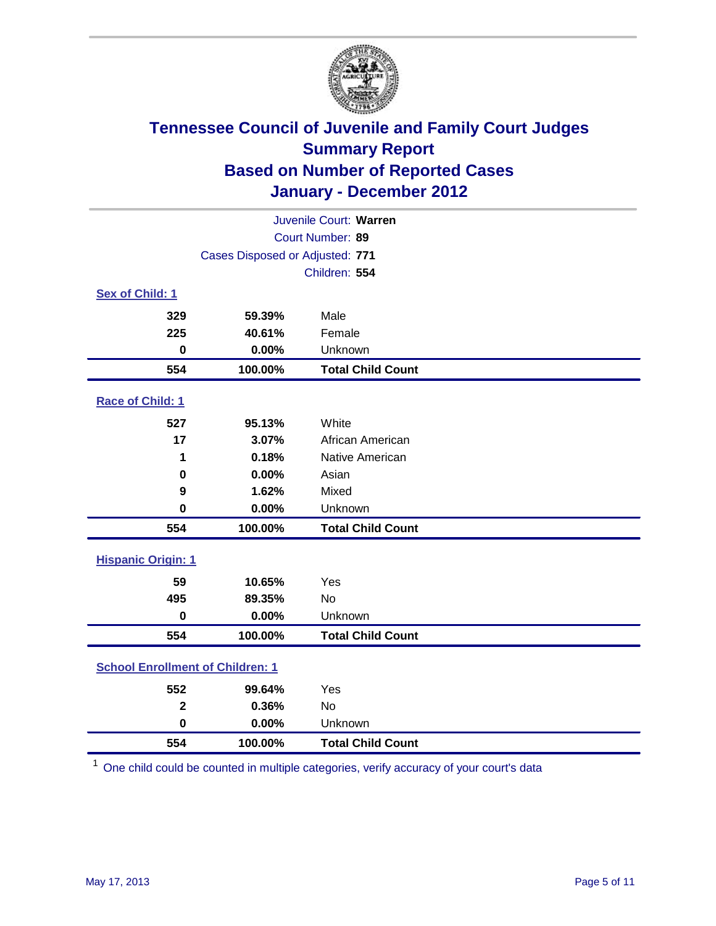

|                           | Juvenile Court: Warren                  |                          |  |  |  |
|---------------------------|-----------------------------------------|--------------------------|--|--|--|
|                           | Court Number: 89                        |                          |  |  |  |
|                           | Cases Disposed or Adjusted: 771         |                          |  |  |  |
|                           |                                         | Children: 554            |  |  |  |
| Sex of Child: 1           |                                         |                          |  |  |  |
| 329                       | 59.39%                                  | Male                     |  |  |  |
| 225                       | 40.61%                                  | Female                   |  |  |  |
| $\mathbf 0$               | 0.00%                                   | Unknown                  |  |  |  |
| 554                       | 100.00%                                 | <b>Total Child Count</b> |  |  |  |
| Race of Child: 1          |                                         |                          |  |  |  |
| 527                       | 95.13%                                  | White                    |  |  |  |
| 17                        | 3.07%                                   | African American         |  |  |  |
| 1                         | 0.18%                                   | Native American          |  |  |  |
| $\mathbf 0$               | 0.00%                                   | Asian                    |  |  |  |
| 9                         | 1.62%                                   | Mixed                    |  |  |  |
| $\bf{0}$                  | 0.00%                                   | Unknown                  |  |  |  |
| 554                       | 100.00%                                 | <b>Total Child Count</b> |  |  |  |
| <b>Hispanic Origin: 1</b> |                                         |                          |  |  |  |
| 59                        | 10.65%                                  | Yes                      |  |  |  |
| 495                       | 89.35%                                  | <b>No</b>                |  |  |  |
| $\mathbf 0$               | 0.00%                                   | Unknown                  |  |  |  |
| 554                       | 100.00%                                 | <b>Total Child Count</b> |  |  |  |
|                           | <b>School Enrollment of Children: 1</b> |                          |  |  |  |
| 552                       | 99.64%                                  | Yes                      |  |  |  |
| $\mathbf{2}$              | 0.36%                                   | No                       |  |  |  |
| $\mathbf 0$               | 0.00%                                   | Unknown                  |  |  |  |
| 554                       | 100.00%                                 | <b>Total Child Count</b> |  |  |  |

One child could be counted in multiple categories, verify accuracy of your court's data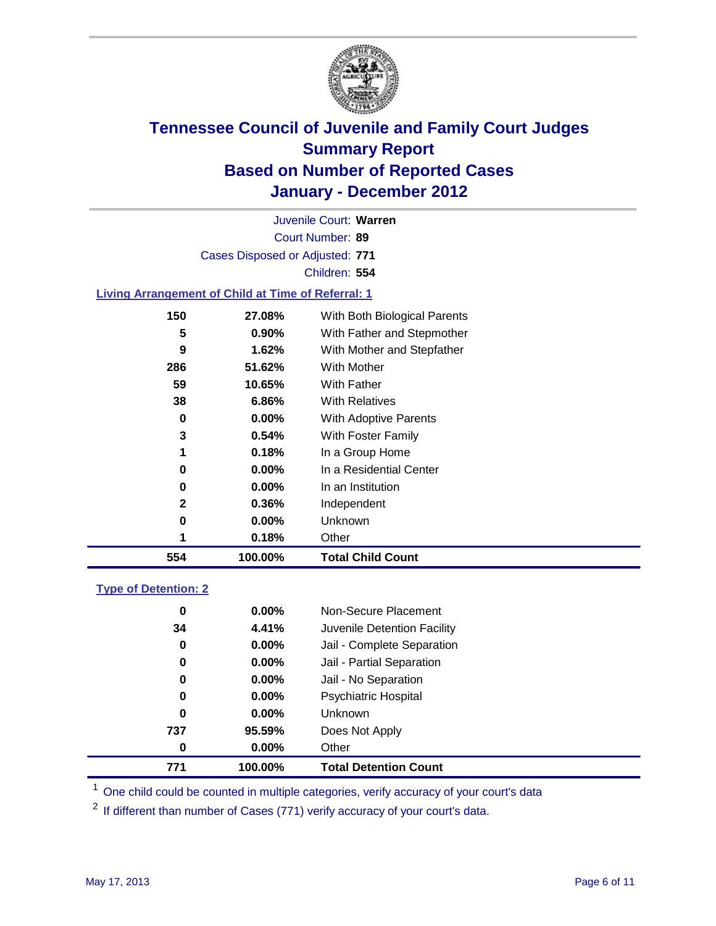

Court Number: **89** Juvenile Court: **Warren** Cases Disposed or Adjusted: **771** Children: **554**

#### **Living Arrangement of Child at Time of Referral: 1**

| 554 | 100.00%  | <b>Total Child Count</b>     |
|-----|----------|------------------------------|
| 1   | 0.18%    | Other                        |
| 0   | 0.00%    | Unknown                      |
| 2   | 0.36%    | Independent                  |
| 0   | 0.00%    | In an Institution            |
| 0   | $0.00\%$ | In a Residential Center      |
| 1   | 0.18%    | In a Group Home              |
| 3   | 0.54%    | With Foster Family           |
| 0   | 0.00%    | <b>With Adoptive Parents</b> |
| 38  | 6.86%    | <b>With Relatives</b>        |
| 59  | 10.65%   | With Father                  |
| 286 | 51.62%   | With Mother                  |
| 9   | 1.62%    | With Mother and Stepfather   |
| 5   | 0.90%    | With Father and Stepmother   |
| 150 | 27.08%   | With Both Biological Parents |
|     |          |                              |

#### **Type of Detention: 2**

| 771 | 100.00%  | <b>Total Detention Count</b> |  |
|-----|----------|------------------------------|--|
| 0   | 0.00%    | Other                        |  |
| 737 | 95.59%   | Does Not Apply               |  |
| 0   | $0.00\%$ | Unknown                      |  |
| 0   | $0.00\%$ | Psychiatric Hospital         |  |
| 0   | 0.00%    | Jail - No Separation         |  |
| 0   | $0.00\%$ | Jail - Partial Separation    |  |
| 0   | 0.00%    | Jail - Complete Separation   |  |
| 34  | 4.41%    | Juvenile Detention Facility  |  |
| 0   | $0.00\%$ | Non-Secure Placement         |  |
|     |          |                              |  |

<sup>1</sup> One child could be counted in multiple categories, verify accuracy of your court's data

<sup>2</sup> If different than number of Cases (771) verify accuracy of your court's data.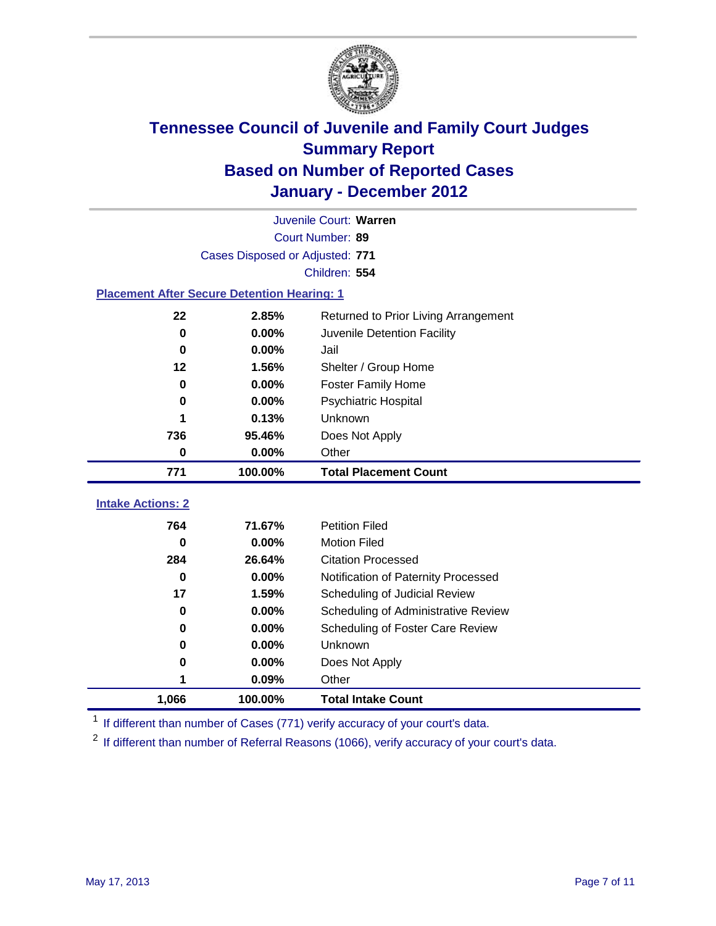

|                                                    | Juvenile Court: Warren          |                                      |  |  |  |
|----------------------------------------------------|---------------------------------|--------------------------------------|--|--|--|
|                                                    | Court Number: 89                |                                      |  |  |  |
|                                                    | Cases Disposed or Adjusted: 771 |                                      |  |  |  |
|                                                    |                                 | Children: 554                        |  |  |  |
| <b>Placement After Secure Detention Hearing: 1</b> |                                 |                                      |  |  |  |
| 22                                                 | 2.85%                           | Returned to Prior Living Arrangement |  |  |  |
| 0                                                  | 0.00%                           | Juvenile Detention Facility          |  |  |  |
| $\mathbf 0$                                        | 0.00%                           | Jail                                 |  |  |  |
| 12                                                 | 1.56%                           | Shelter / Group Home                 |  |  |  |
| 0                                                  | 0.00%                           | <b>Foster Family Home</b>            |  |  |  |
| 0                                                  | 0.00%                           | Psychiatric Hospital                 |  |  |  |
|                                                    | 0.13%                           | Unknown                              |  |  |  |
| 736                                                | 95.46%                          | Does Not Apply                       |  |  |  |
| $\bf{0}$                                           | 0.00%                           | Other                                |  |  |  |
| 771                                                | 100.00%                         | <b>Total Placement Count</b>         |  |  |  |
| <b>Intake Actions: 2</b>                           |                                 |                                      |  |  |  |
| 764                                                | 71.67%                          | <b>Petition Filed</b>                |  |  |  |
| 0                                                  | 0.00%                           | <b>Motion Filed</b>                  |  |  |  |
| 284                                                | 26.64%                          | <b>Citation Processed</b>            |  |  |  |
| $\bf{0}$                                           | 0.00%                           | Notification of Paternity Processed  |  |  |  |
| 17                                                 | 1.59%                           | Scheduling of Judicial Review        |  |  |  |
| 0                                                  | 0.00%                           | Scheduling of Administrative Review  |  |  |  |
| 0                                                  | 0.00%                           | Scheduling of Foster Care Review     |  |  |  |
| 0                                                  | 0.00%                           | Unknown                              |  |  |  |
| 0                                                  | 0.00%                           | Does Not Apply                       |  |  |  |
|                                                    |                                 |                                      |  |  |  |
|                                                    | 0.09%                           | Other                                |  |  |  |

<sup>1</sup> If different than number of Cases (771) verify accuracy of your court's data.

<sup>2</sup> If different than number of Referral Reasons (1066), verify accuracy of your court's data.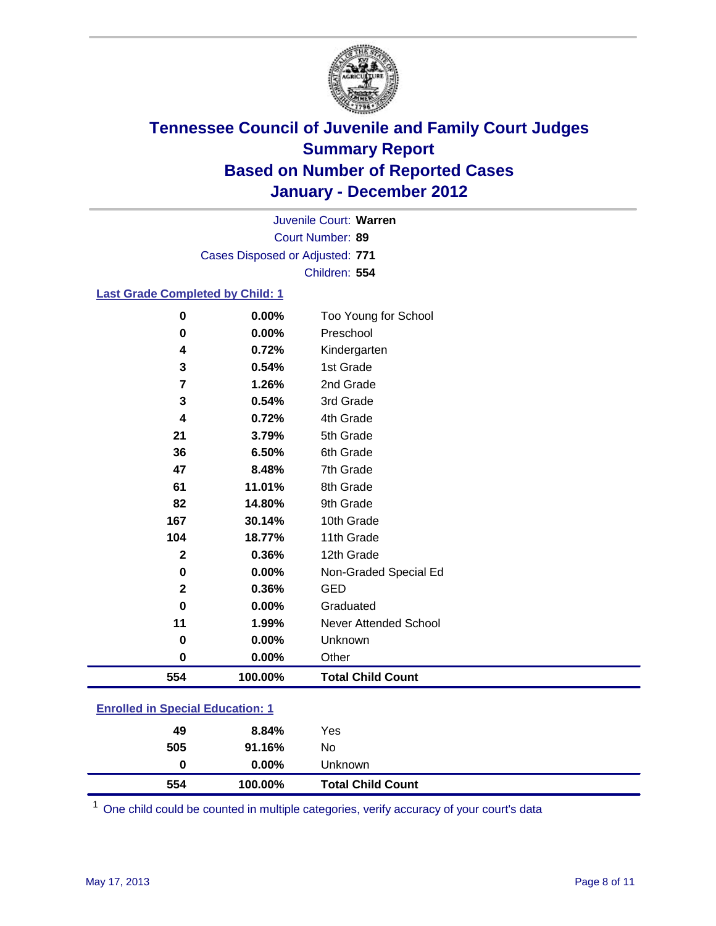

Court Number: **89** Juvenile Court: **Warren** Cases Disposed or Adjusted: **771** Children: **554**

### **Last Grade Completed by Child: 1**

| 0                                       | 0.00%    | Too Young for School         |
|-----------------------------------------|----------|------------------------------|
| 0                                       | 0.00%    | Preschool                    |
| 4                                       | 0.72%    | Kindergarten                 |
| $\mathbf 3$                             | 0.54%    | 1st Grade                    |
| 7                                       | 1.26%    | 2nd Grade                    |
| 3                                       | 0.54%    | 3rd Grade                    |
| 4                                       | 0.72%    | 4th Grade                    |
| 21                                      | 3.79%    | 5th Grade                    |
| 36                                      | 6.50%    | 6th Grade                    |
| 47                                      | 8.48%    | 7th Grade                    |
| 61                                      | 11.01%   | 8th Grade                    |
| 82                                      | 14.80%   | 9th Grade                    |
| 167                                     | 30.14%   | 10th Grade                   |
| 104                                     | 18.77%   | 11th Grade                   |
| $\mathbf 2$                             | 0.36%    | 12th Grade                   |
| 0                                       | 0.00%    | Non-Graded Special Ed        |
| $\mathbf{2}$                            | 0.36%    | <b>GED</b>                   |
| 0                                       | 0.00%    | Graduated                    |
| 11                                      | 1.99%    | <b>Never Attended School</b> |
| 0                                       | 0.00%    | Unknown                      |
| 0                                       | $0.00\%$ | Other                        |
| 554                                     | 100.00%  | <b>Total Child Count</b>     |
| <b>Enrolled in Special Education: 1</b> |          |                              |

|  |  | <b>Enrolled in Special Education: 1</b> |  |
|--|--|-----------------------------------------|--|
|  |  |                                         |  |
|  |  |                                         |  |

| 554 | 100.00%  | <b>Total Child Count</b> |  |
|-----|----------|--------------------------|--|
| 0   | $0.00\%$ | Unknown                  |  |
| 505 | 91.16%   | No                       |  |
| 49  | 8.84%    | Yes                      |  |

One child could be counted in multiple categories, verify accuracy of your court's data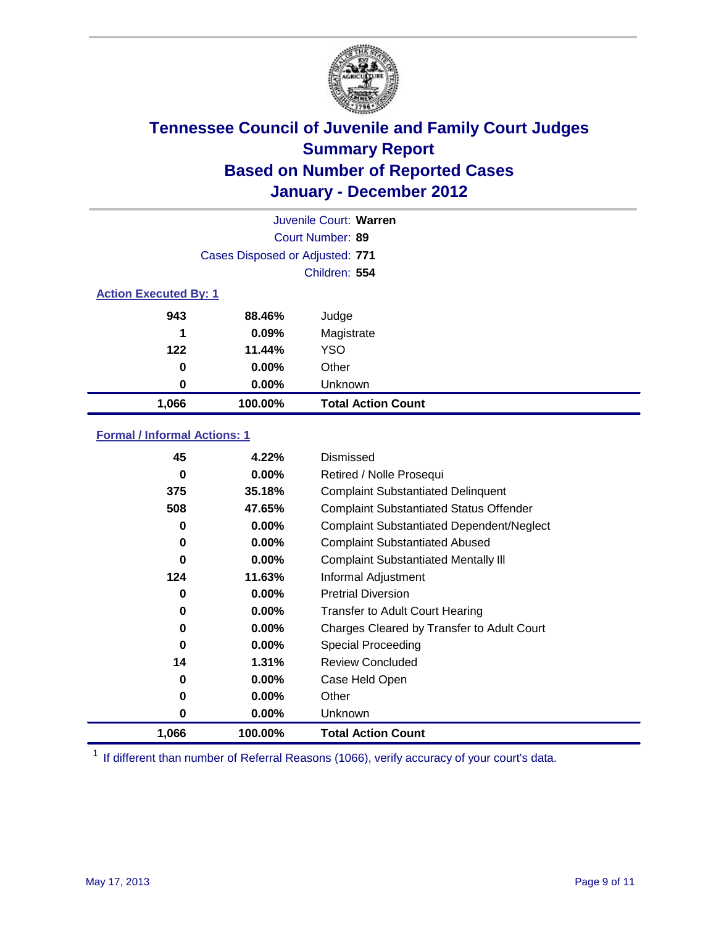

|                              |                                 | Juvenile Court: Warren    |
|------------------------------|---------------------------------|---------------------------|
|                              |                                 | Court Number: 89          |
|                              | Cases Disposed or Adjusted: 771 |                           |
|                              |                                 | Children: 554             |
| <b>Action Executed By: 1</b> |                                 |                           |
| 943                          | 88.46%                          | Judge                     |
| 1                            | 0.09%                           | Magistrate                |
| $122$                        | 11.44%                          | <b>YSO</b>                |
| 0                            | $0.00\%$                        | Other                     |
| 0                            | 0.00%                           | Unknown                   |
| 1,066                        | 100.00%                         | <b>Total Action Count</b> |

### **Formal / Informal Actions: 1**

| 45    | 4.22%    | Dismissed                                        |
|-------|----------|--------------------------------------------------|
| 0     | $0.00\%$ | Retired / Nolle Prosequi                         |
| 375   | 35.18%   | <b>Complaint Substantiated Delinquent</b>        |
| 508   | 47.65%   | <b>Complaint Substantiated Status Offender</b>   |
| 0     | $0.00\%$ | <b>Complaint Substantiated Dependent/Neglect</b> |
| 0     | $0.00\%$ | <b>Complaint Substantiated Abused</b>            |
| 0     | $0.00\%$ | <b>Complaint Substantiated Mentally III</b>      |
| 124   | 11.63%   | Informal Adjustment                              |
| 0     | $0.00\%$ | <b>Pretrial Diversion</b>                        |
| 0     | $0.00\%$ | <b>Transfer to Adult Court Hearing</b>           |
| 0     | $0.00\%$ | Charges Cleared by Transfer to Adult Court       |
| 0     | $0.00\%$ | <b>Special Proceeding</b>                        |
| 14    | 1.31%    | <b>Review Concluded</b>                          |
| 0     | $0.00\%$ | Case Held Open                                   |
| 0     | $0.00\%$ | Other                                            |
| 0     | $0.00\%$ | <b>Unknown</b>                                   |
| 1,066 | 100.00%  | <b>Total Action Count</b>                        |

<sup>1</sup> If different than number of Referral Reasons (1066), verify accuracy of your court's data.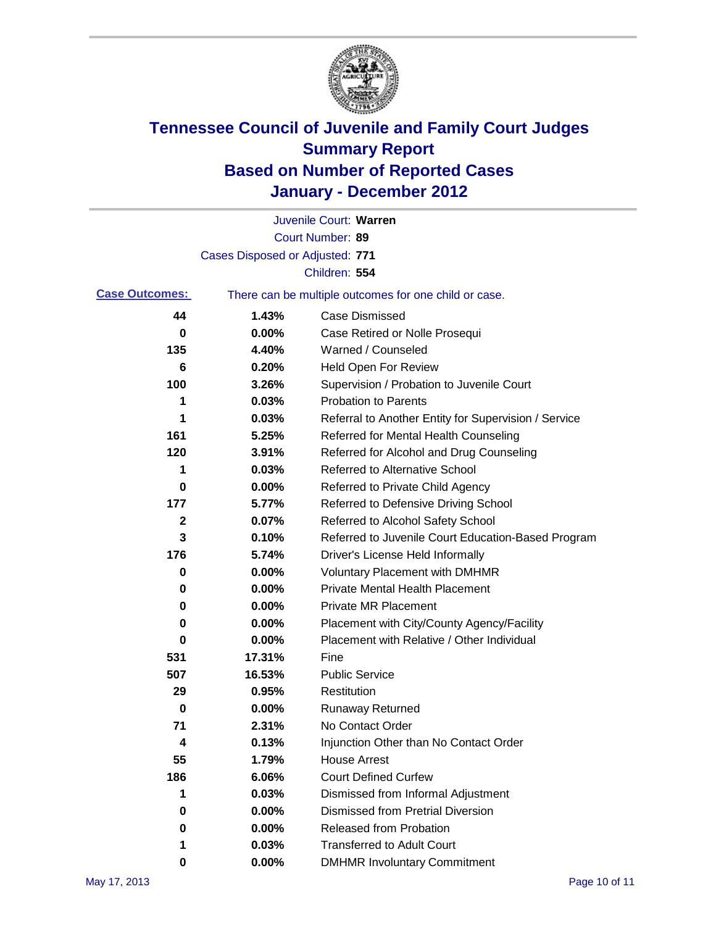

|                       |                                 | Juvenile Court: Warren                                |
|-----------------------|---------------------------------|-------------------------------------------------------|
|                       |                                 | Court Number: 89                                      |
|                       | Cases Disposed or Adjusted: 771 |                                                       |
|                       |                                 | Children: 554                                         |
| <b>Case Outcomes:</b> |                                 | There can be multiple outcomes for one child or case. |
| 44                    | 1.43%                           | <b>Case Dismissed</b>                                 |
| 0                     | 0.00%                           | Case Retired or Nolle Prosequi                        |
| 135                   | 4.40%                           | Warned / Counseled                                    |
| 6                     | 0.20%                           | Held Open For Review                                  |
| 100                   | 3.26%                           | Supervision / Probation to Juvenile Court             |
| 1                     | 0.03%                           | <b>Probation to Parents</b>                           |
| 1                     | 0.03%                           | Referral to Another Entity for Supervision / Service  |
| 161                   | 5.25%                           | Referred for Mental Health Counseling                 |
| 120                   | 3.91%                           | Referred for Alcohol and Drug Counseling              |
| 1                     | 0.03%                           | <b>Referred to Alternative School</b>                 |
| 0                     | 0.00%                           | Referred to Private Child Agency                      |
| 177                   | 5.77%                           | Referred to Defensive Driving School                  |
| 2                     | 0.07%                           | Referred to Alcohol Safety School                     |
| 3                     | 0.10%                           | Referred to Juvenile Court Education-Based Program    |
| 176                   | 5.74%                           | Driver's License Held Informally                      |
| 0                     | 0.00%                           | <b>Voluntary Placement with DMHMR</b>                 |
| 0                     | 0.00%                           | <b>Private Mental Health Placement</b>                |
| 0                     | 0.00%                           | <b>Private MR Placement</b>                           |
| 0                     | 0.00%                           | Placement with City/County Agency/Facility            |
| 0                     | 0.00%                           | Placement with Relative / Other Individual            |
| 531                   | 17.31%                          | Fine                                                  |
| 507                   | 16.53%                          | <b>Public Service</b>                                 |
| 29                    | 0.95%                           | Restitution                                           |
| 0                     | 0.00%                           | <b>Runaway Returned</b>                               |
| 71                    | 2.31%                           | No Contact Order                                      |
| 4                     | 0.13%                           | Injunction Other than No Contact Order                |
| 55                    | 1.79%                           | <b>House Arrest</b>                                   |
| 186                   | 6.06%                           | <b>Court Defined Curfew</b>                           |
| 1                     | 0.03%                           | Dismissed from Informal Adjustment                    |
| 0                     | 0.00%                           | <b>Dismissed from Pretrial Diversion</b>              |
| 0                     | 0.00%                           | Released from Probation                               |
| 1                     | 0.03%                           | <b>Transferred to Adult Court</b>                     |
| 0                     | 0.00%                           | <b>DMHMR Involuntary Commitment</b>                   |